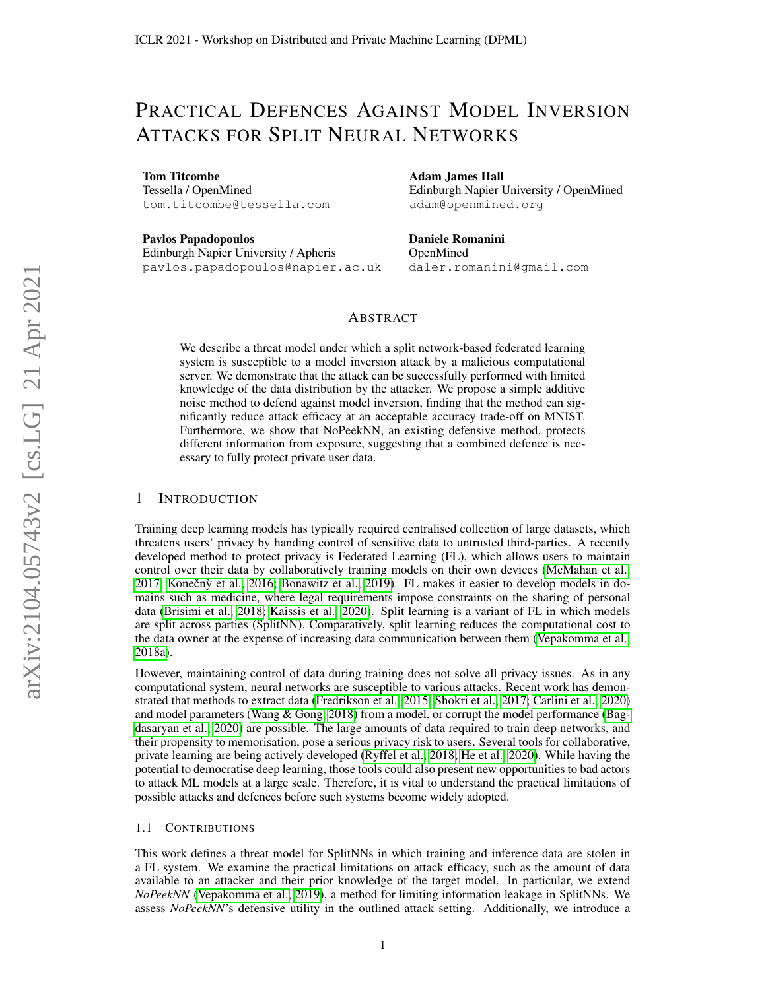# PRACTICAL DEFENCES AGAINST MODEL INVERSION ATTACKS FOR SPLIT NEURAL NETWORKS

Tom Titcombe

Tessella / OpenMined tom.titcombe@tessella.com

Pavlos Papadopoulos

Edinburgh Napier University / Apheris pavlos.papadopoulos@napier.ac.uk Adam James Hall Edinburgh Napier University / OpenMined adam@openmined.org

Daniele Romanini OpenMined daler.romanini@gmail.com

# ABSTRACT

We describe a threat model under which a split network-based federated learning system is susceptible to a model inversion attack by a malicious computational server. We demonstrate that the attack can be successfully performed with limited knowledge of the data distribution by the attacker. We propose a simple additive noise method to defend against model inversion, finding that the method can significantly reduce attack efficacy at an acceptable accuracy trade-off on MNIST. Furthermore, we show that NoPeekNN, an existing defensive method, protects different information from exposure, suggesting that a combined defence is necessary to fully protect private user data.

# 1 INTRODUCTION

Training deep learning models has typically required centralised collection of large datasets, which threatens users' privacy by handing control of sensitive data to untrusted third-parties. A recently developed method to protect privacy is Federated Learning (FL), which allows users to maintain control over their data by collaboratively training models on their own devices [\(McMahan et al.,](#page-5-0)  $2017$ ; Konečnỳ et al.,  $2016$ ; Bonawitz et al.,  $2019$ ). FL makes it easier to develop models in domains such as medicine, where legal requirements impose constraints on the sharing of personal data [\(Brisimi et al., 2018;](#page-4-1) [Kaissis et al., 2020\)](#page-5-2). Split learning is a variant of FL in which models are split across parties (SplitNN). Comparatively, split learning reduces the computational cost to the data owner at the expense of increasing data communication between them [\(Vepakomma et al.,](#page-6-0) [2018a\)](#page-6-0).

However, maintaining control of data during training does not solve all privacy issues. As in any computational system, neural networks are susceptible to various attacks. Recent work has demonstrated that methods to extract data [\(Fredrikson et al., 2015;](#page-5-3) [Shokri et al., 2017;](#page-6-1) [Carlini et al., 2020\)](#page-4-2) and model parameters [\(Wang & Gong, 2018\)](#page-6-2) from a model, or corrupt the model performance [\(Bag](#page-4-3)[dasaryan et al., 2020\)](#page-4-3) are possible. The large amounts of data required to train deep networks, and their propensity to memorisation, pose a serious privacy risk to users. Several tools for collaborative, private learning are being actively developed [\(Ryffel et al., 2018;](#page-6-3) [He et al., 2020\)](#page-5-4). While having the potential to democratise deep learning, those tools could also present new opportunities to bad actors to attack ML models at a large scale. Therefore, it is vital to understand the practical limitations of possible attacks and defences before such systems become widely adopted.

#### 1.1 CONTRIBUTIONS

This work defines a threat model for SplitNNs in which training and inference data are stolen in a FL system. We examine the practical limitations on attack efficacy, such as the amount of data available to an attacker and their prior knowledge of the target model. In particular, we extend *NoPeekNN* [\(Vepakomma et al., 2019\)](#page-6-4), a method for limiting information leakage in SplitNNs. We assess *NoPeekNN*'s defensive utility in the outlined attack setting. Additionally, we introduce a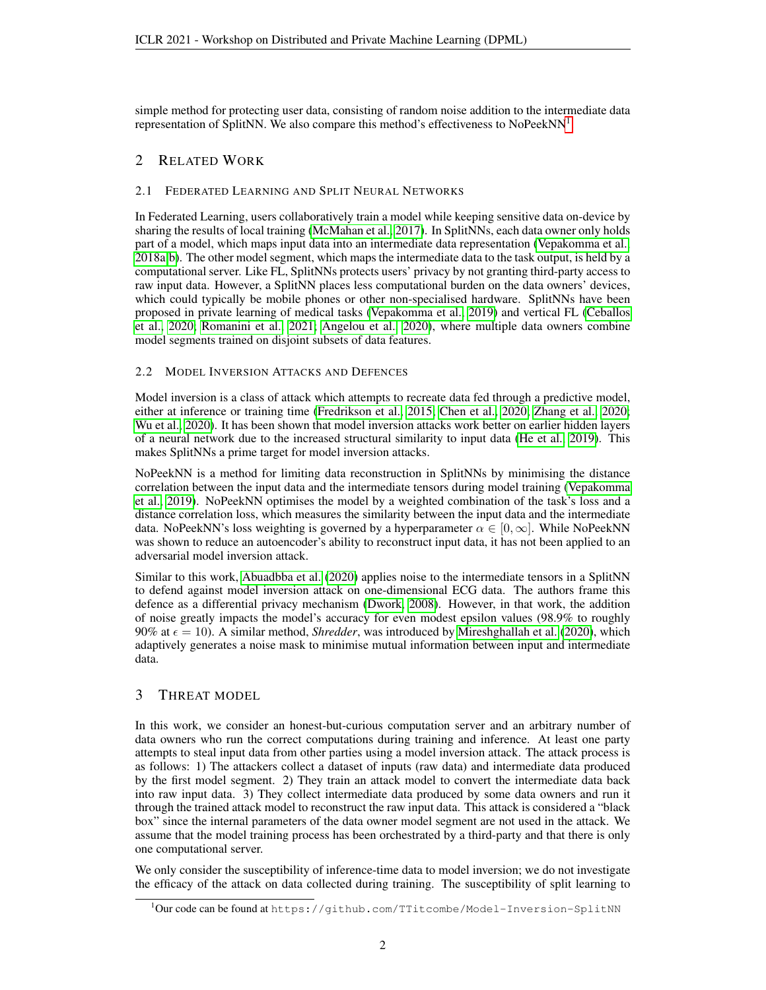simple method for protecting user data, consisting of random noise addition to the intermediate data representation of SplitNN. We also compare this method's effectiveness to NoPeekNN<sup>[1](#page-1-0)</sup>.

# 2 RELATED WORK

## 2.1 FEDERATED LEARNING AND SPLIT NEURAL NETWORKS

In Federated Learning, users collaboratively train a model while keeping sensitive data on-device by sharing the results of local training [\(McMahan et al., 2017\)](#page-5-0). In SplitNNs, each data owner only holds part of a model, which maps input data into an intermediate data representation [\(Vepakomma et al.,](#page-6-0) [2018a](#page-6-0)[;b\)](#page-6-5). The other model segment, which maps the intermediate data to the task output, is held by a computational server. Like FL, SplitNNs protects users' privacy by not granting third-party access to raw input data. However, a SplitNN places less computational burden on the data owners' devices, which could typically be mobile phones or other non-specialised hardware. SplitNNs have been proposed in private learning of medical tasks [\(Vepakomma et al., 2019\)](#page-6-4) and vertical FL [\(Ceballos](#page-4-4) [et al., 2020;](#page-4-4) [Romanini et al., 2021;](#page-6-6) [Angelou et al., 2020\)](#page-4-5), where multiple data owners combine model segments trained on disjoint subsets of data features.

# 2.2 MODEL INVERSION ATTACKS AND DEFENCES

Model inversion is a class of attack which attempts to recreate data fed through a predictive model, either at inference or training time [\(Fredrikson et al., 2015;](#page-5-3) [Chen et al., 2020;](#page-4-6) [Zhang et al., 2020;](#page-6-7) [Wu et al., 2020\)](#page-6-8). It has been shown that model inversion attacks work better on earlier hidden layers of a neural network due to the increased structural similarity to input data [\(He et al., 2019\)](#page-5-5). This makes SplitNNs a prime target for model inversion attacks.

NoPeekNN is a method for limiting data reconstruction in SplitNNs by minimising the distance correlation between the input data and the intermediate tensors during model training [\(Vepakomma](#page-6-4) [et al., 2019\)](#page-6-4). NoPeekNN optimises the model by a weighted combination of the task's loss and a distance correlation loss, which measures the similarity between the input data and the intermediate data. NoPeekNN's loss weighting is governed by a hyperparameter  $\alpha \in [0, \infty]$ . While NoPeekNN was shown to reduce an autoencoder's ability to reconstruct input data, it has not been applied to an adversarial model inversion attack.

Similar to this work, [Abuadbba et al.](#page-4-7) [\(2020\)](#page-4-7) applies noise to the intermediate tensors in a SplitNN to defend against model inversion attack on one-dimensional ECG data. The authors frame this defence as a differential privacy mechanism [\(Dwork, 2008\)](#page-5-6). However, in that work, the addition of noise greatly impacts the model's accuracy for even modest epsilon values (98.9% to roughly 90% at  $\epsilon = 10$ ). A similar method, *Shredder*, was introduced by [Mireshghallah et al.](#page-5-7) [\(2020\)](#page-5-7), which adaptively generates a noise mask to minimise mutual information between input and intermediate data.

# <span id="page-1-1"></span>3 THREAT MODEL

In this work, we consider an honest-but-curious computation server and an arbitrary number of data owners who run the correct computations during training and inference. At least one party attempts to steal input data from other parties using a model inversion attack. The attack process is as follows: 1) The attackers collect a dataset of inputs (raw data) and intermediate data produced by the first model segment. 2) They train an attack model to convert the intermediate data back into raw input data. 3) They collect intermediate data produced by some data owners and run it through the trained attack model to reconstruct the raw input data. This attack is considered a "black box" since the internal parameters of the data owner model segment are not used in the attack. We assume that the model training process has been orchestrated by a third-party and that there is only one computational server.

We only consider the susceptibility of inference-time data to model inversion; we do not investigate the efficacy of the attack on data collected during training. The susceptibility of split learning to

<span id="page-1-0"></span><sup>&</sup>lt;sup>1</sup>Our code can be found at https://github.com/TTitcombe/Model-Inversion-SplitNN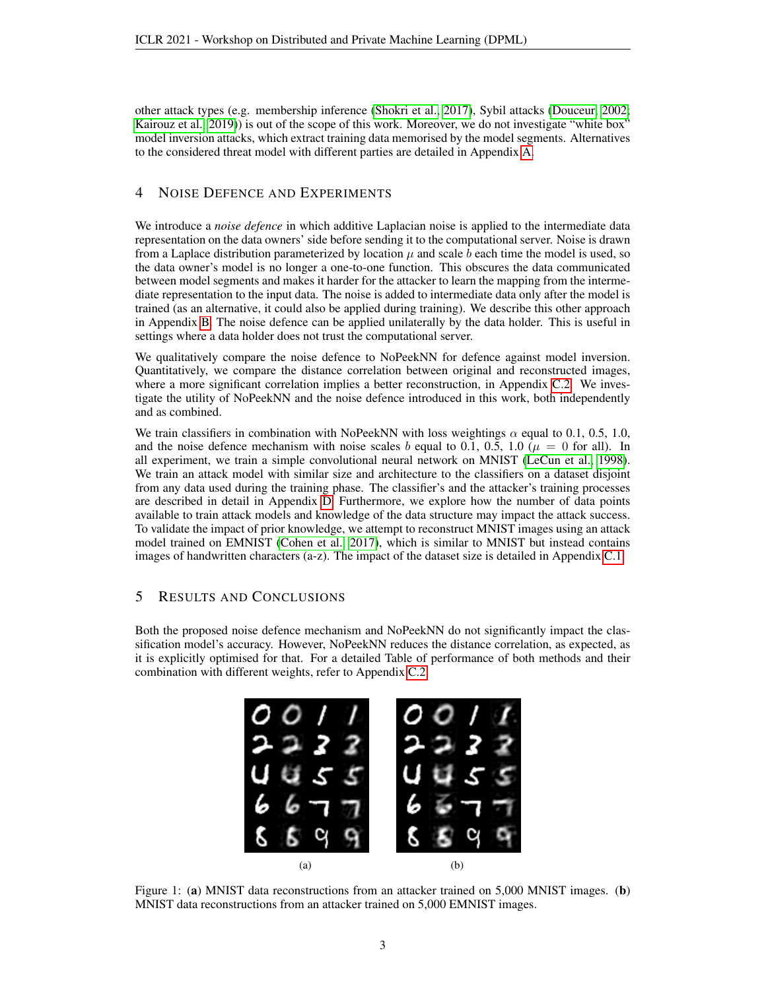other attack types (e.g. membership inference [\(Shokri et al., 2017\)](#page-6-1), Sybil attacks [\(Douceur, 2002;](#page-5-8) [Kairouz et al., 2019\)](#page-5-9)) is out of the scope of this work. Moreover, we do not investigate "white box" model inversion attacks, which extract training data memorised by the model segments. Alternatives to the considered threat model with different parties are detailed in Appendix [A.](#page-6-9)

## 4 NOISE DEFENCE AND EXPERIMENTS

We introduce a *noise defence* in which additive Laplacian noise is applied to the intermediate data representation on the data owners' side before sending it to the computational server. Noise is drawn from a Laplace distribution parameterized by location  $\mu$  and scale b each time the model is used, so the data owner's model is no longer a one-to-one function. This obscures the data communicated between model segments and makes it harder for the attacker to learn the mapping from the intermediate representation to the input data. The noise is added to intermediate data only after the model is trained (as an alternative, it could also be applied during training). We describe this other approach in Appendix [B.](#page-7-0) The noise defence can be applied unilaterally by the data holder. This is useful in settings where a data holder does not trust the computational server.

We qualitatively compare the noise defence to NoPeekNN for defence against model inversion. Quantitatively, we compare the distance correlation between original and reconstructed images, where a more significant correlation implies a better reconstruction, in Appendix [C.2.](#page-7-1) We investigate the utility of NoPeekNN and the noise defence introduced in this work, both independently and as combined.

We train classifiers in combination with NoPeekNN with loss weightings  $\alpha$  equal to 0.1, 0.5, 1.0, and the noise defence mechanism with noise scales b equal to 0.1, 0.5, 1.0 ( $\mu = 0$  for all). In all experiment, we train a simple convolutional neural network on MNIST [\(LeCun et al., 1998\)](#page-5-10). We train an attack model with similar size and architecture to the classifiers on a dataset disjoint from any data used during the training phase. The classifier's and the attacker's training processes are described in detail in Appendix [D.](#page-8-0) Furthermore, we explore how the number of data points available to train attack models and knowledge of the data structure may impact the attack success. To validate the impact of prior knowledge, we attempt to reconstruct MNIST images using an attack model trained on EMNIST [\(Cohen et al., 2017\)](#page-5-11), which is similar to MNIST but instead contains images of handwritten characters (a-z). The impact of the dataset size is detailed in Appendix [C.1.](#page-7-2)

# 5 RESULTS AND CONCLUSIONS

<span id="page-2-0"></span>Both the proposed noise defence mechanism and NoPeekNN do not significantly impact the classification model's accuracy. However, NoPeekNN reduces the distance correlation, as expected, as it is explicitly optimised for that. For a detailed Table of performance of both methods and their combination with different weights, refer to Appendix [C.2.](#page-7-1)



Figure 1: (a) MNIST data reconstructions from an attacker trained on 5,000 MNIST images. (b) MNIST data reconstructions from an attacker trained on 5,000 EMNIST images.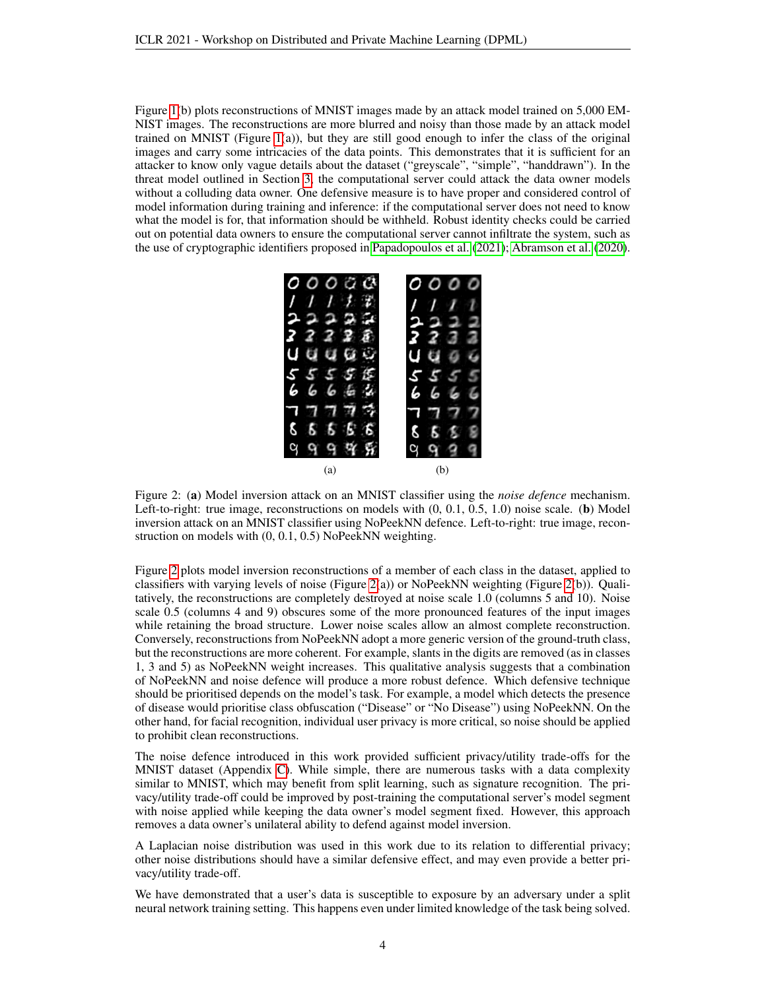Figure [1\(](#page-2-0)b) plots reconstructions of MNIST images made by an attack model trained on 5,000 EM-NIST images. The reconstructions are more blurred and noisy than those made by an attack model trained on MNIST (Figure [1\(](#page-2-0)a)), but they are still good enough to infer the class of the original images and carry some intricacies of the data points. This demonstrates that it is sufficient for an attacker to know only vague details about the dataset ("greyscale", "simple", "handdrawn"). In the threat model outlined in Section [3,](#page-1-1) the computational server could attack the data owner models without a colluding data owner. One defensive measure is to have proper and considered control of model information during training and inference: if the computational server does not need to know what the model is for, that information should be withheld. Robust identity checks could be carried out on potential data owners to ensure the computational server cannot infiltrate the system, such as the use of cryptographic identifiers proposed in [Papadopoulos et al.](#page-5-12) [\(2021\)](#page-5-12); [Abramson et al.](#page-4-8) [\(2020\)](#page-4-8).

<span id="page-3-0"></span>

Figure 2: (a) Model inversion attack on an MNIST classifier using the *noise defence* mechanism. Left-to-right: true image, reconstructions on models with  $(0, 0.1, 0.5, 1.0)$  noise scale. (b) Model inversion attack on an MNIST classifier using NoPeekNN defence. Left-to-right: true image, reconstruction on models with (0, 0.1, 0.5) NoPeekNN weighting.

Figure [2](#page-3-0) plots model inversion reconstructions of a member of each class in the dataset, applied to classifiers with varying levels of noise (Figure [2\(](#page-3-0)a)) or NoPeekNN weighting (Figure 2(b)). Qualitatively, the reconstructions are completely destroyed at noise scale 1.0 (columns 5 and 10). Noise scale 0.5 (columns 4 and 9) obscures some of the more pronounced features of the input images while retaining the broad structure. Lower noise scales allow an almost complete reconstruction. Conversely, reconstructions from NoPeekNN adopt a more generic version of the ground-truth class, but the reconstructions are more coherent. For example, slants in the digits are removed (as in classes 1, 3 and 5) as NoPeekNN weight increases. This qualitative analysis suggests that a combination of NoPeekNN and noise defence will produce a more robust defence. Which defensive technique should be prioritised depends on the model's task. For example, a model which detects the presence of disease would prioritise class obfuscation ("Disease" or "No Disease") using NoPeekNN. On the other hand, for facial recognition, individual user privacy is more critical, so noise should be applied to prohibit clean reconstructions.

The noise defence introduced in this work provided sufficient privacy/utility trade-offs for the MNIST dataset (Appendix [C\)](#page-7-3). While simple, there are numerous tasks with a data complexity similar to MNIST, which may benefit from split learning, such as signature recognition. The privacy/utility trade-off could be improved by post-training the computational server's model segment with noise applied while keeping the data owner's model segment fixed. However, this approach removes a data owner's unilateral ability to defend against model inversion.

A Laplacian noise distribution was used in this work due to its relation to differential privacy; other noise distributions should have a similar defensive effect, and may even provide a better privacy/utility trade-off.

We have demonstrated that a user's data is susceptible to exposure by an adversary under a split neural network training setting. This happens even under limited knowledge of the task being solved.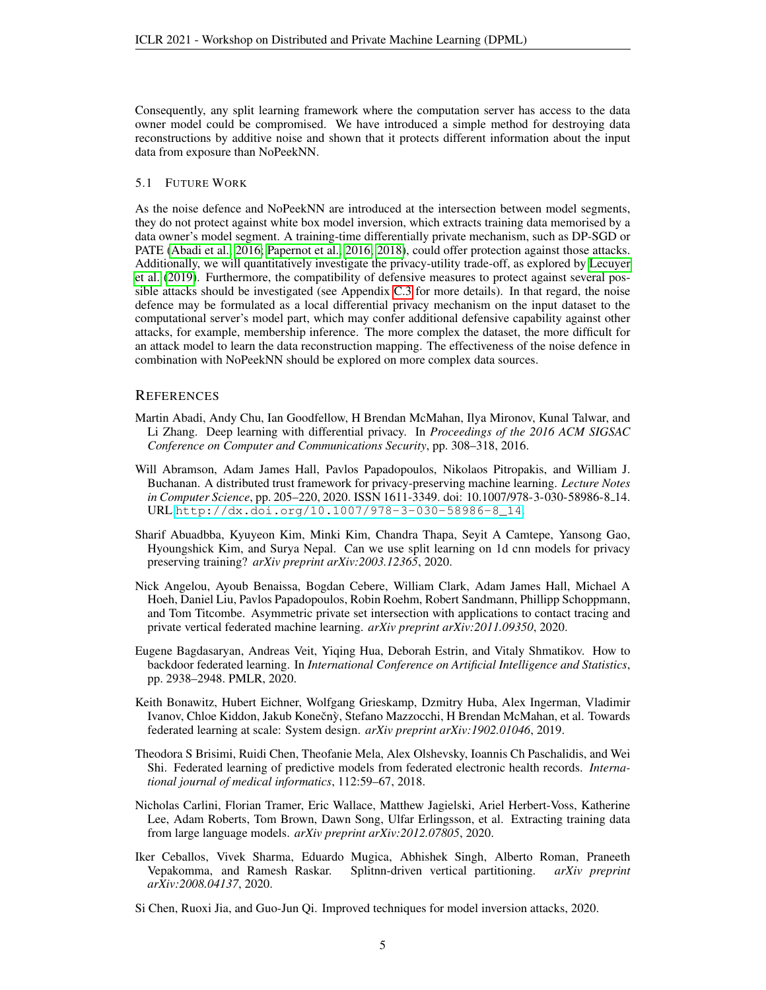Consequently, any split learning framework where the computation server has access to the data owner model could be compromised. We have introduced a simple method for destroying data reconstructions by additive noise and shown that it protects different information about the input data from exposure than NoPeekNN.

#### 5.1 FUTURE WORK

As the noise defence and NoPeekNN are introduced at the intersection between model segments, they do not protect against white box model inversion, which extracts training data memorised by a data owner's model segment. A training-time differentially private mechanism, such as DP-SGD or PATE [\(Abadi et al., 2016;](#page-4-9) [Papernot et al., 2016;](#page-5-13) [2018\)](#page-5-14), could offer protection against those attacks. Additionally, we will quantitatively investigate the privacy-utility trade-off, as explored by [Lecuyer](#page-5-15) [et al.](#page-5-15) [\(2019\)](#page-5-15). Furthermore, the compatibility of defensive measures to protect against several possible attacks should be investigated (see Appendix [C.3](#page-8-1) for more details). In that regard, the noise defence may be formulated as a local differential privacy mechanism on the input dataset to the computational server's model part, which may confer additional defensive capability against other attacks, for example, membership inference. The more complex the dataset, the more difficult for an attack model to learn the data reconstruction mapping. The effectiveness of the noise defence in combination with NoPeekNN should be explored on more complex data sources.

#### **REFERENCES**

- <span id="page-4-9"></span>Martin Abadi, Andy Chu, Ian Goodfellow, H Brendan McMahan, Ilya Mironov, Kunal Talwar, and Li Zhang. Deep learning with differential privacy. In *Proceedings of the 2016 ACM SIGSAC Conference on Computer and Communications Security*, pp. 308–318, 2016.
- <span id="page-4-8"></span>Will Abramson, Adam James Hall, Pavlos Papadopoulos, Nikolaos Pitropakis, and William J. Buchanan. A distributed trust framework for privacy-preserving machine learning. *Lecture Notes in Computer Science*, pp. 205–220, 2020. ISSN 1611-3349. doi: 10.1007/978-3-030-58986-8 14. URL [http://dx.doi.org/10.1007/978-3-030-58986-8\\_14](http://dx.doi.org/10.1007/978-3-030-58986-8_14).
- <span id="page-4-7"></span>Sharif Abuadbba, Kyuyeon Kim, Minki Kim, Chandra Thapa, Seyit A Camtepe, Yansong Gao, Hyoungshick Kim, and Surya Nepal. Can we use split learning on 1d cnn models for privacy preserving training? *arXiv preprint arXiv:2003.12365*, 2020.
- <span id="page-4-5"></span>Nick Angelou, Ayoub Benaissa, Bogdan Cebere, William Clark, Adam James Hall, Michael A Hoeh, Daniel Liu, Pavlos Papadopoulos, Robin Roehm, Robert Sandmann, Phillipp Schoppmann, and Tom Titcombe. Asymmetric private set intersection with applications to contact tracing and private vertical federated machine learning. *arXiv preprint arXiv:2011.09350*, 2020.
- <span id="page-4-3"></span>Eugene Bagdasaryan, Andreas Veit, Yiqing Hua, Deborah Estrin, and Vitaly Shmatikov. How to backdoor federated learning. In *International Conference on Artificial Intelligence and Statistics*, pp. 2938–2948. PMLR, 2020.
- <span id="page-4-0"></span>Keith Bonawitz, Hubert Eichner, Wolfgang Grieskamp, Dzmitry Huba, Alex Ingerman, Vladimir Ivanov, Chloe Kiddon, Jakub Konečný, Stefano Mazzocchi, H Brendan McMahan, et al. Towards federated learning at scale: System design. *arXiv preprint arXiv:1902.01046*, 2019.
- <span id="page-4-1"></span>Theodora S Brisimi, Ruidi Chen, Theofanie Mela, Alex Olshevsky, Ioannis Ch Paschalidis, and Wei Shi. Federated learning of predictive models from federated electronic health records. *International journal of medical informatics*, 112:59–67, 2018.
- <span id="page-4-2"></span>Nicholas Carlini, Florian Tramer, Eric Wallace, Matthew Jagielski, Ariel Herbert-Voss, Katherine Lee, Adam Roberts, Tom Brown, Dawn Song, Ulfar Erlingsson, et al. Extracting training data from large language models. *arXiv preprint arXiv:2012.07805*, 2020.
- <span id="page-4-4"></span>Iker Ceballos, Vivek Sharma, Eduardo Mugica, Abhishek Singh, Alberto Roman, Praneeth Vepakomma, and Ramesh Raskar. Splitnn-driven vertical partitioning. *arXiv preprint arXiv:2008.04137*, 2020.
- <span id="page-4-6"></span>Si Chen, Ruoxi Jia, and Guo-Jun Qi. Improved techniques for model inversion attacks, 2020.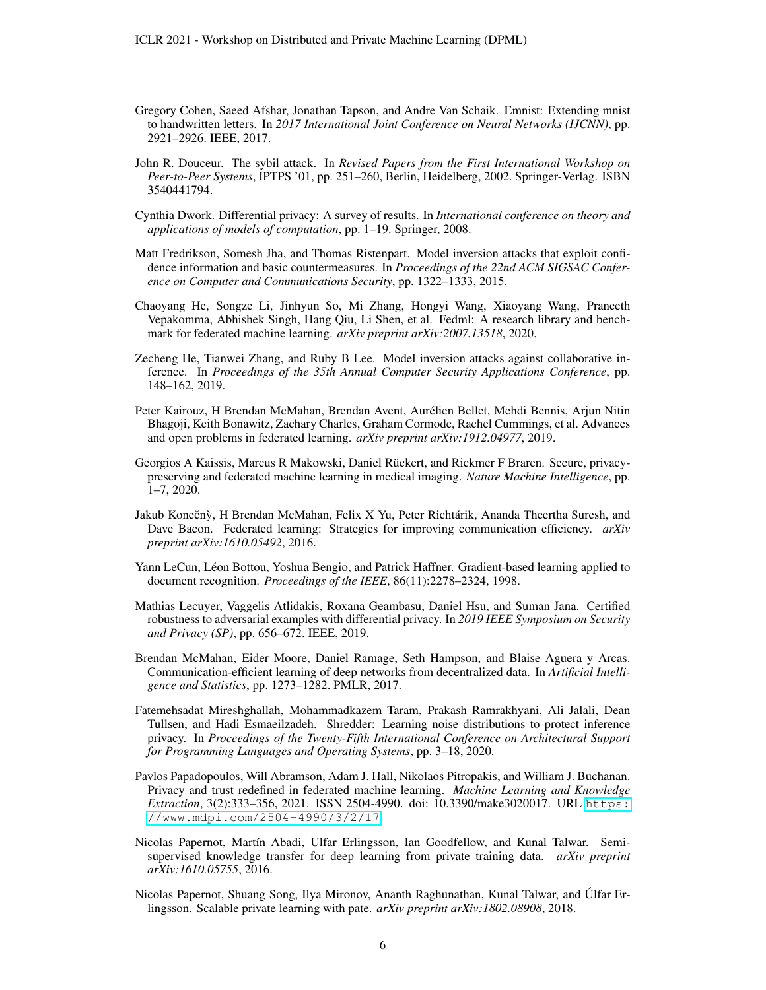- <span id="page-5-11"></span>Gregory Cohen, Saeed Afshar, Jonathan Tapson, and Andre Van Schaik. Emnist: Extending mnist to handwritten letters. In *2017 International Joint Conference on Neural Networks (IJCNN)*, pp. 2921–2926. IEEE, 2017.
- <span id="page-5-8"></span>John R. Douceur. The sybil attack. In *Revised Papers from the First International Workshop on Peer-to-Peer Systems*, IPTPS '01, pp. 251–260, Berlin, Heidelberg, 2002. Springer-Verlag. ISBN 3540441794.
- <span id="page-5-6"></span>Cynthia Dwork. Differential privacy: A survey of results. In *International conference on theory and applications of models of computation*, pp. 1–19. Springer, 2008.
- <span id="page-5-3"></span>Matt Fredrikson, Somesh Jha, and Thomas Ristenpart. Model inversion attacks that exploit confidence information and basic countermeasures. In *Proceedings of the 22nd ACM SIGSAC Conference on Computer and Communications Security*, pp. 1322–1333, 2015.
- <span id="page-5-4"></span>Chaoyang He, Songze Li, Jinhyun So, Mi Zhang, Hongyi Wang, Xiaoyang Wang, Praneeth Vepakomma, Abhishek Singh, Hang Qiu, Li Shen, et al. Fedml: A research library and benchmark for federated machine learning. *arXiv preprint arXiv:2007.13518*, 2020.
- <span id="page-5-5"></span>Zecheng He, Tianwei Zhang, and Ruby B Lee. Model inversion attacks against collaborative inference. In *Proceedings of the 35th Annual Computer Security Applications Conference*, pp. 148–162, 2019.
- <span id="page-5-9"></span>Peter Kairouz, H Brendan McMahan, Brendan Avent, Aurelien Bellet, Mehdi Bennis, Arjun Nitin ´ Bhagoji, Keith Bonawitz, Zachary Charles, Graham Cormode, Rachel Cummings, et al. Advances and open problems in federated learning. *arXiv preprint arXiv:1912.04977*, 2019.
- <span id="page-5-2"></span>Georgios A Kaissis, Marcus R Makowski, Daniel Rückert, and Rickmer F Braren. Secure, privacypreserving and federated machine learning in medical imaging. *Nature Machine Intelligence*, pp. 1–7, 2020.
- <span id="page-5-1"></span>Jakub Konečnỳ, H Brendan McMahan, Felix X Yu, Peter Richtárik, Ananda Theertha Suresh, and Dave Bacon. Federated learning: Strategies for improving communication efficiency. *arXiv preprint arXiv:1610.05492*, 2016.
- <span id="page-5-10"></span>Yann LeCun, Leon Bottou, Yoshua Bengio, and Patrick Haffner. Gradient-based learning applied to ´ document recognition. *Proceedings of the IEEE*, 86(11):2278–2324, 1998.
- <span id="page-5-15"></span>Mathias Lecuyer, Vaggelis Atlidakis, Roxana Geambasu, Daniel Hsu, and Suman Jana. Certified robustness to adversarial examples with differential privacy. In *2019 IEEE Symposium on Security and Privacy (SP)*, pp. 656–672. IEEE, 2019.
- <span id="page-5-0"></span>Brendan McMahan, Eider Moore, Daniel Ramage, Seth Hampson, and Blaise Aguera y Arcas. Communication-efficient learning of deep networks from decentralized data. In *Artificial Intelligence and Statistics*, pp. 1273–1282. PMLR, 2017.
- <span id="page-5-7"></span>Fatemehsadat Mireshghallah, Mohammadkazem Taram, Prakash Ramrakhyani, Ali Jalali, Dean Tullsen, and Hadi Esmaeilzadeh. Shredder: Learning noise distributions to protect inference privacy. In *Proceedings of the Twenty-Fifth International Conference on Architectural Support for Programming Languages and Operating Systems*, pp. 3–18, 2020.
- <span id="page-5-12"></span>Pavlos Papadopoulos, Will Abramson, Adam J. Hall, Nikolaos Pitropakis, and William J. Buchanan. Privacy and trust redefined in federated machine learning. *Machine Learning and Knowledge Extraction*, 3(2):333–356, 2021. ISSN 2504-4990. doi: 10.3390/make3020017. URL [https:](https://www.mdpi.com/2504-4990/3/2/17) [//www.mdpi.com/2504-4990/3/2/17](https://www.mdpi.com/2504-4990/3/2/17).
- <span id="page-5-13"></span>Nicolas Papernot, Mart´ın Abadi, Ulfar Erlingsson, Ian Goodfellow, and Kunal Talwar. Semisupervised knowledge transfer for deep learning from private training data. *arXiv preprint arXiv:1610.05755*, 2016.
- <span id="page-5-14"></span>Nicolas Papernot, Shuang Song, Ilya Mironov, Ananth Raghunathan, Kunal Talwar, and Ulfar Er- ´ lingsson. Scalable private learning with pate. *arXiv preprint arXiv:1802.08908*, 2018.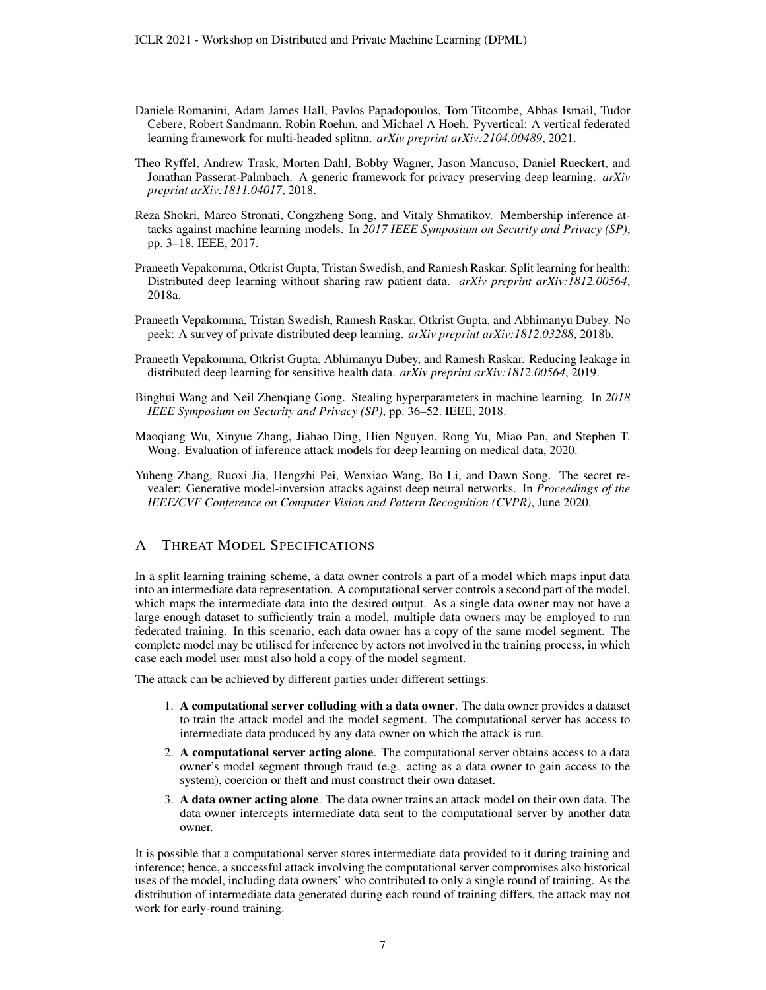- <span id="page-6-6"></span>Daniele Romanini, Adam James Hall, Pavlos Papadopoulos, Tom Titcombe, Abbas Ismail, Tudor Cebere, Robert Sandmann, Robin Roehm, and Michael A Hoeh. Pyvertical: A vertical federated learning framework for multi-headed splitnn. *arXiv preprint arXiv:2104.00489*, 2021.
- <span id="page-6-3"></span>Theo Ryffel, Andrew Trask, Morten Dahl, Bobby Wagner, Jason Mancuso, Daniel Rueckert, and Jonathan Passerat-Palmbach. A generic framework for privacy preserving deep learning. *arXiv preprint arXiv:1811.04017*, 2018.
- <span id="page-6-1"></span>Reza Shokri, Marco Stronati, Congzheng Song, and Vitaly Shmatikov. Membership inference attacks against machine learning models. In *2017 IEEE Symposium on Security and Privacy (SP)*, pp. 3–18. IEEE, 2017.
- <span id="page-6-0"></span>Praneeth Vepakomma, Otkrist Gupta, Tristan Swedish, and Ramesh Raskar. Split learning for health: Distributed deep learning without sharing raw patient data. *arXiv preprint arXiv:1812.00564*, 2018a.
- <span id="page-6-5"></span>Praneeth Vepakomma, Tristan Swedish, Ramesh Raskar, Otkrist Gupta, and Abhimanyu Dubey. No peek: A survey of private distributed deep learning. *arXiv preprint arXiv:1812.03288*, 2018b.
- <span id="page-6-4"></span>Praneeth Vepakomma, Otkrist Gupta, Abhimanyu Dubey, and Ramesh Raskar. Reducing leakage in distributed deep learning for sensitive health data. *arXiv preprint arXiv:1812.00564*, 2019.
- <span id="page-6-2"></span>Binghui Wang and Neil Zhenqiang Gong. Stealing hyperparameters in machine learning. In *2018 IEEE Symposium on Security and Privacy (SP)*, pp. 36–52. IEEE, 2018.
- <span id="page-6-8"></span>Maoqiang Wu, Xinyue Zhang, Jiahao Ding, Hien Nguyen, Rong Yu, Miao Pan, and Stephen T. Wong. Evaluation of inference attack models for deep learning on medical data, 2020.
- <span id="page-6-7"></span>Yuheng Zhang, Ruoxi Jia, Hengzhi Pei, Wenxiao Wang, Bo Li, and Dawn Song. The secret revealer: Generative model-inversion attacks against deep neural networks. In *Proceedings of the IEEE/CVF Conference on Computer Vision and Pattern Recognition (CVPR)*, June 2020.

# <span id="page-6-9"></span>A THREAT MODEL SPECIFICATIONS

In a split learning training scheme, a data owner controls a part of a model which maps input data into an intermediate data representation. A computational server controls a second part of the model, which maps the intermediate data into the desired output. As a single data owner may not have a large enough dataset to sufficiently train a model, multiple data owners may be employed to run federated training. In this scenario, each data owner has a copy of the same model segment. The complete model may be utilised for inference by actors not involved in the training process, in which case each model user must also hold a copy of the model segment.

The attack can be achieved by different parties under different settings:

- 1. A computational server colluding with a data owner. The data owner provides a dataset to train the attack model and the model segment. The computational server has access to intermediate data produced by any data owner on which the attack is run.
- 2. A computational server acting alone. The computational server obtains access to a data owner's model segment through fraud (e.g. acting as a data owner to gain access to the system), coercion or theft and must construct their own dataset.
- 3. A data owner acting alone. The data owner trains an attack model on their own data. The data owner intercepts intermediate data sent to the computational server by another data owner.

It is possible that a computational server stores intermediate data provided to it during training and inference; hence, a successful attack involving the computational server compromises also historical uses of the model, including data owners' who contributed to only a single round of training. As the distribution of intermediate data generated during each round of training differs, the attack may not work for early-round training.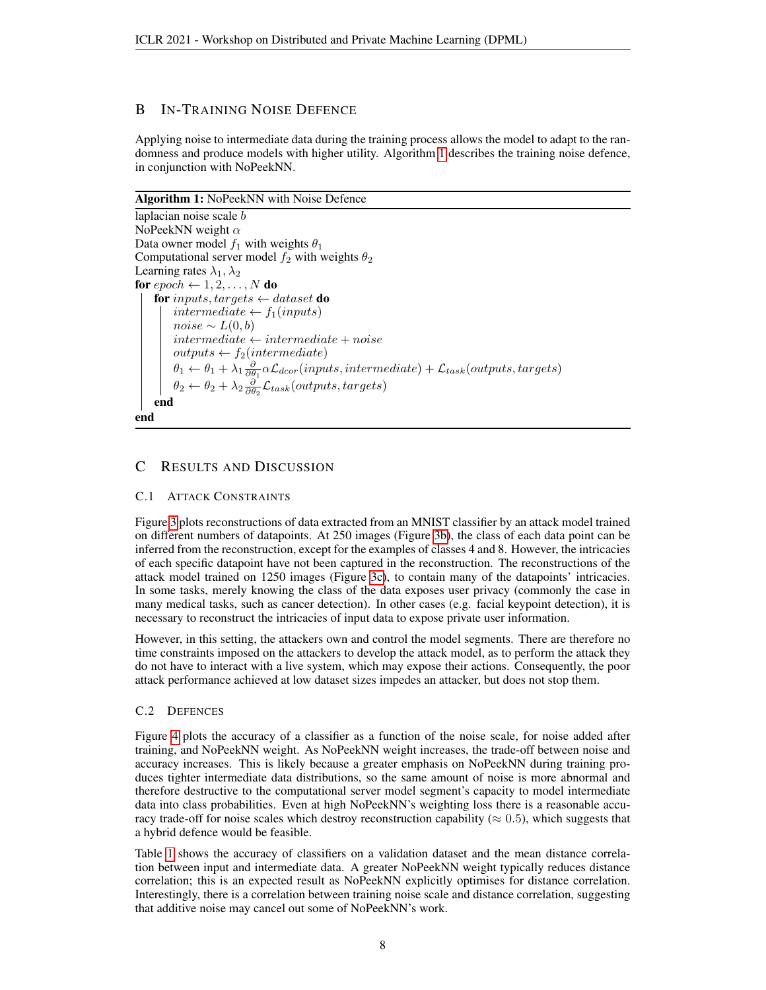# <span id="page-7-0"></span>B IN-TRAINING NOISE DEFENCE

Applying noise to intermediate data during the training process allows the model to adapt to the randomness and produce models with higher utility. Algorithm [1](#page-7-4) describes the training noise defence, in conjunction with NoPeekNN.

#### Algorithm 1: NoPeekNN with Noise Defence

laplacian noise scale b NoPeekNN weight  $\alpha$ Data owner model  $f_1$  with weights  $\theta_1$ Computational server model  $f_2$  with weights  $\theta_2$ Learning rates  $\lambda_1, \lambda_2$ for  $epoch \leftarrow 1, 2, \ldots, N$  do for inputs, targets  $\leftarrow$  dataset do intermediate  $\leftarrow$  f<sub>1</sub>(inputs)  $noise \sim L(0,b)$  $intermediate \leftarrow intermediate + noise$  $outputs \leftarrow f_2(intermediate)$  $\theta_1 \leftarrow \theta_1 + \lambda_1 \frac{\partial}{\partial \theta_1} \alpha \mathcal{L}_{dcor}(inputs, intermediate) + \mathcal{L}_{task}(outputs, targets)$  $\theta_2 \leftarrow \theta_2 + \lambda_2 \frac{\partial}{\partial \theta_2} \mathcal{L}_{task}(outputs, targets)$ end end

# <span id="page-7-4"></span><span id="page-7-3"></span>C RESULTS AND DISCUSSION

## <span id="page-7-2"></span>C.1 ATTACK CONSTRAINTS

Figure [3](#page-8-2) plots reconstructions of data extracted from an MNIST classifier by an attack model trained on different numbers of datapoints. At 250 images (Figure [3b\)](#page-8-2), the class of each data point can be inferred from the reconstruction, except for the examples of classes 4 and 8. However, the intricacies of each specific datapoint have not been captured in the reconstruction. The reconstructions of the attack model trained on 1250 images (Figure [3c\)](#page-8-2), to contain many of the datapoints' intricacies. In some tasks, merely knowing the class of the data exposes user privacy (commonly the case in many medical tasks, such as cancer detection). In other cases (e.g. facial keypoint detection), it is necessary to reconstruct the intricacies of input data to expose private user information.

However, in this setting, the attackers own and control the model segments. There are therefore no time constraints imposed on the attackers to develop the attack model, as to perform the attack they do not have to interact with a live system, which may expose their actions. Consequently, the poor attack performance achieved at low dataset sizes impedes an attacker, but does not stop them.

### <span id="page-7-1"></span>C.2 DEFENCES

Figure [4](#page-8-3) plots the accuracy of a classifier as a function of the noise scale, for noise added after training, and NoPeekNN weight. As NoPeekNN weight increases, the trade-off between noise and accuracy increases. This is likely because a greater emphasis on NoPeekNN during training produces tighter intermediate data distributions, so the same amount of noise is more abnormal and therefore destructive to the computational server model segment's capacity to model intermediate data into class probabilities. Even at high NoPeekNN's weighting loss there is a reasonable accuracy trade-off for noise scales which destroy reconstruction capability ( $\approx 0.5$ ), which suggests that a hybrid defence would be feasible.

Table [1](#page-9-0) shows the accuracy of classifiers on a validation dataset and the mean distance correlation between input and intermediate data. A greater NoPeekNN weight typically reduces distance correlation; this is an expected result as NoPeekNN explicitly optimises for distance correlation. Interestingly, there is a correlation between training noise scale and distance correlation, suggesting that additive noise may cancel out some of NoPeekNN's work.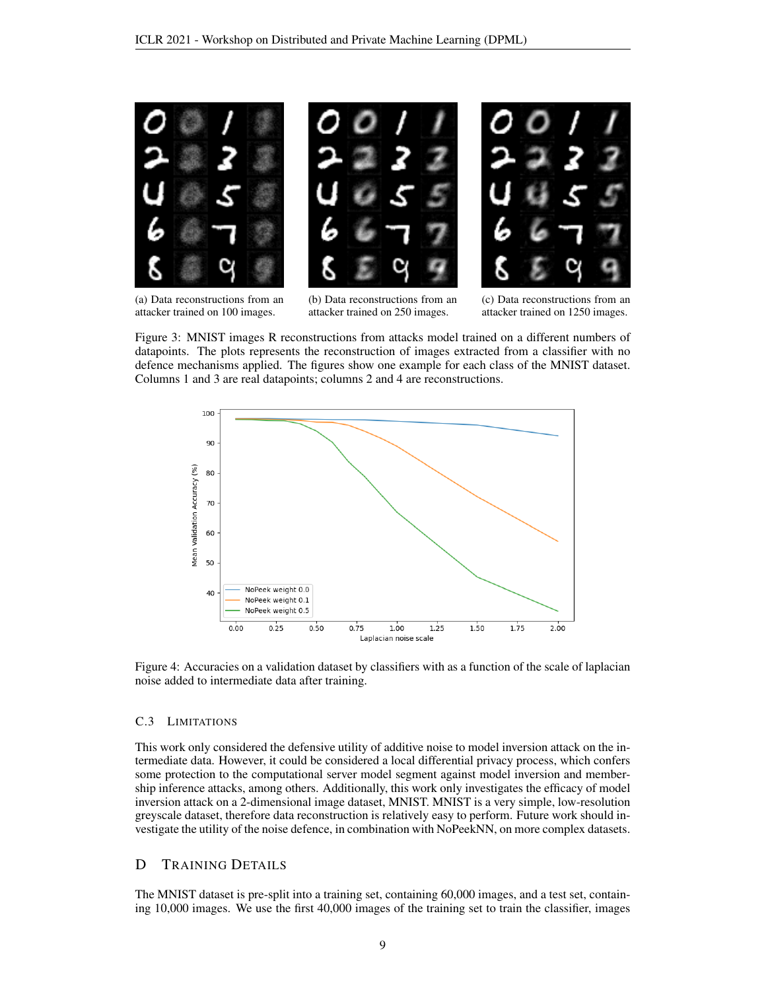<span id="page-8-2"></span>

(a) Data reconstructions from an attacker trained on 100 images.

(b) Data reconstructions from an attacker trained on 250 images.

(c) Data reconstructions from an attacker trained on 1250 images.

Figure 3: MNIST images R reconstructions from attacks model trained on a different numbers of datapoints. The plots represents the reconstruction of images extracted from a classifier with no defence mechanisms applied. The figures show one example for each class of the MNIST dataset. Columns 1 and 3 are real datapoints; columns 2 and 4 are reconstructions.

<span id="page-8-3"></span>

Figure 4: Accuracies on a validation dataset by classifiers with as a function of the scale of laplacian noise added to intermediate data after training.

#### <span id="page-8-1"></span>C.3 LIMITATIONS

This work only considered the defensive utility of additive noise to model inversion attack on the intermediate data. However, it could be considered a local differential privacy process, which confers some protection to the computational server model segment against model inversion and membership inference attacks, among others. Additionally, this work only investigates the efficacy of model inversion attack on a 2-dimensional image dataset, MNIST. MNIST is a very simple, low-resolution greyscale dataset, therefore data reconstruction is relatively easy to perform. Future work should investigate the utility of the noise defence, in combination with NoPeekNN, on more complex datasets.

#### <span id="page-8-0"></span>D TRAINING DETAILS

The MNIST dataset is pre-split into a training set, containing 60,000 images, and a test set, containing 10,000 images. We use the first 40,000 images of the training set to train the classifier, images